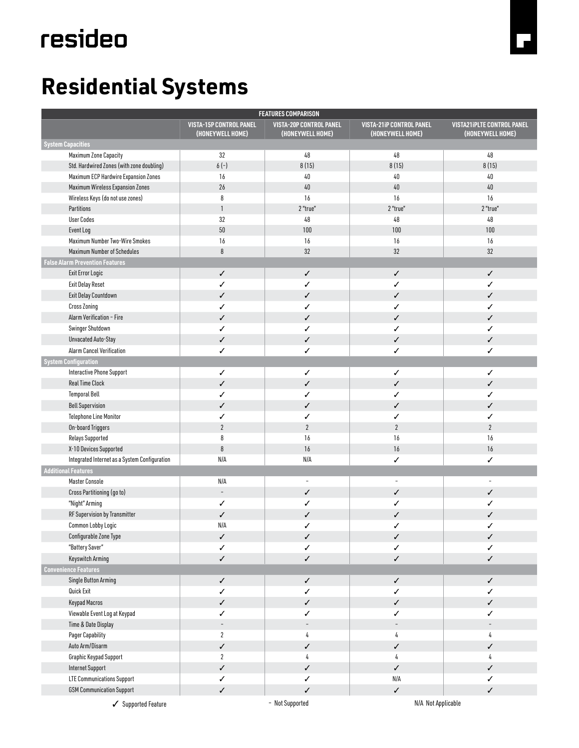# resideo

## **Residential Systems**

| <b>FEATURES COMPARISON</b>                    |                                                    |                                                    |                                                     |                                                       |
|-----------------------------------------------|----------------------------------------------------|----------------------------------------------------|-----------------------------------------------------|-------------------------------------------------------|
|                                               | <b>VISTA-15P CONTROL PANEL</b><br>(HONEYWELL HOME) | <b>VISTA-20P CONTROL PANEL</b><br>(HONEYWELL HOME) | <b>VISTA-21iP CONTROL PANEL</b><br>(HONEYWELL HOME) | <b>VISTA21iPLTE CONTROL PANEL</b><br>(HONEYWELL HOME) |
| <b>System Capacities</b>                      |                                                    |                                                    |                                                     |                                                       |
| Maximum Zone Capacity                         | 32                                                 | 48                                                 | 48                                                  | 48                                                    |
| Std. Hardwired Zones (with zone doubling)     | $6(-)$                                             | 8(15)                                              | 8(15)                                               | 8(15)                                                 |
| Maximum ECP Hardwire Expansion Zones          | 16                                                 | $40\,$                                             | $40\,$                                              | $40\,$                                                |
| Maximum Wireless Expansion Zones              | 26                                                 | $40\,$                                             | $40\,$                                              | $40\,$                                                |
| Wireless Keys (do not use zones)              | 8                                                  | 16                                                 | 16                                                  | 16                                                    |
| Partitions                                    | $\mathbf{1}$                                       | 2 "true"                                           | 2 "true"                                            | 2 "true"                                              |
| <b>User Codes</b>                             | 32                                                 | 48                                                 | 48                                                  | 48                                                    |
| Event Log                                     | 50                                                 | 100                                                | 100                                                 | 100                                                   |
| Maximum Number Two-Wire Smokes                | $16\,$                                             | 16                                                 | 16                                                  | 16                                                    |
| <b>Maximum Number of Schedules</b>            | 8                                                  | 32                                                 | 32                                                  | 32                                                    |
| <b>False Alarm Prevention Features</b>        |                                                    |                                                    |                                                     |                                                       |
| Exit Error Logic                              | ✓                                                  | ✓                                                  | ✓                                                   | ✓                                                     |
| <b>Exit Delay Reset</b>                       | ✓                                                  | ✓                                                  | ✓                                                   | ✓                                                     |
| Exit Delay Countdown                          | ✓                                                  | ✓                                                  | ✓                                                   | ✓                                                     |
| <b>Cross Zoning</b>                           | ✓                                                  | ✓                                                  | ✓                                                   | ✓                                                     |
| Alarm Verification - Fire                     | ✓                                                  | ✓                                                  | ✓                                                   | ✓                                                     |
| Swinger Shutdown                              | ✓                                                  | ✓                                                  | ✓                                                   | ✓                                                     |
| Unvacated Auto-Stay                           |                                                    |                                                    |                                                     |                                                       |
|                                               | ✓                                                  | ✓                                                  | ✓                                                   | ✓                                                     |
| Alarm Cancel Verification                     | ✓                                                  | ✓                                                  | ✓                                                   | ✓                                                     |
| <b>System Configuration</b>                   |                                                    |                                                    |                                                     |                                                       |
| Interactive Phone Support                     | ✓                                                  | ✓                                                  | ✓                                                   | ✓                                                     |
| <b>Real Time Clock</b>                        | ✓                                                  | ✓                                                  | ✓                                                   | ✓                                                     |
| <b>Temporal Bell</b>                          | ✓                                                  | ✓                                                  | ✓                                                   | ✓                                                     |
| <b>Bell Supervision</b>                       | ✓                                                  | ✓                                                  | ✓                                                   | ✓                                                     |
| <b>Telephone Line Monitor</b>                 | ✓                                                  | ✓                                                  | ✓                                                   | ✓                                                     |
| On-board Triggers                             | $\overline{2}$                                     | $\overline{2}$                                     | $\overline{2}$                                      | $\overline{2}$                                        |
| Relays Supported                              | 8                                                  | 16                                                 | 16                                                  | 16                                                    |
| X-10 Devices Supported                        | $\boldsymbol{8}$                                   | 16                                                 | 16                                                  | 16                                                    |
| Integrated Internet as a System Configuration | N/A                                                | N/A                                                | ✓                                                   | ✓                                                     |
| <b>Additional Features</b>                    |                                                    |                                                    |                                                     |                                                       |
| <b>Master Console</b>                         | N/A                                                | $\overline{\phantom{a}}$                           | $\frac{1}{2}$                                       | $\sim$                                                |
| Cross Partitioning (go to)                    | $\qquad \qquad \blacksquare$                       | ✓                                                  | ✓                                                   | ✓                                                     |
| "Night" Arming                                | ✓                                                  | ✓                                                  | ✓                                                   | ✓                                                     |
| RF Supervision by Transmitter                 | ✓                                                  | ✓                                                  | ✓                                                   | ✓                                                     |
| Common Lobby Logic                            | N/A                                                | ✓                                                  | ✓                                                   | ✓                                                     |
| Configurable Zone Type                        | ✓                                                  | $\checkmark$                                       | ✓                                                   | ✓                                                     |
| "Battery Saver"                               | ✓                                                  | ✓                                                  | ✓                                                   | ✓                                                     |
| Keyswitch Arming                              | $\checkmark$                                       | ✓                                                  | ✓                                                   | ✓                                                     |
| <b>Convenience Features</b>                   |                                                    |                                                    |                                                     |                                                       |
| Single Button Arming                          | ✓                                                  | $\checkmark$                                       | $\checkmark$                                        | ✓                                                     |
| Quick Exit                                    | ✓                                                  | ✓                                                  | ✓                                                   | ✓                                                     |
| <b>Keypad Macros</b>                          | $\checkmark$                                       | ✓                                                  | ✓                                                   | ✓                                                     |
| Viewable Event Log at Keypad                  | ✓                                                  | ✓                                                  | ✓                                                   | ✓                                                     |
| Time & Date Display                           | $\overline{\phantom{a}}$                           | $\overline{\phantom{a}}$                           | $\overline{\phantom{a}}$                            | $\overline{\phantom{a}}$                              |
| Pager Capability                              | $\overline{2}$                                     | 4                                                  | 4                                                   | 4                                                     |
| Auto Arm/Disarm                               | $\checkmark$                                       | ✓                                                  | ✓                                                   | ✓                                                     |
|                                               | $\overline{2}$                                     |                                                    |                                                     |                                                       |
| Graphic Keypad Support                        |                                                    | 4                                                  | 4                                                   | 4                                                     |
| Internet Support                              | $\checkmark$                                       | ✓                                                  | $\checkmark$                                        | ✓                                                     |
| <b>LTE Communications Support</b>             | ✓                                                  | ✓                                                  | N/A                                                 | ✓                                                     |
| <b>GSM Communication Support</b>              | $\checkmark$                                       | $\checkmark$                                       | $\checkmark$                                        | ✓                                                     |
| Supported Feature                             |                                                    | - Not Supported                                    | N/A Not Applicable                                  |                                                       |